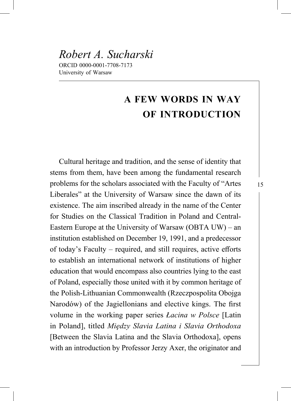# **A FEW WORDS IN WAY OF INTRODUCTION**

Cultural heritage and tradition, and the sense of identity that stems from them, have been among the fundamental research problems for the scholars associated with the Faculty of "Artes Liberales" at the University of Warsaw since the dawn of its existence. The aim inscribed already in the name of the Center for Studies on the Classical Tradition in Poland and Central-Eastern Europe at the University of Warsaw (OBTA UW) – an institution established on December 19, 1991, and a predecessor of today's Faculty – required, and still requires, active efforts to establish an international network of institutions of higher education that would encompass also countries lying to the east of Poland, especially those united with it by common heritage of the Polish-Lithuanian Commonwealth (Rzeczpospolita Obojga Narodów) of the Jagiellonians and elective kings. The first volume in the working paper series *Łacina w Polsce* [Latin in Poland], titled *Między Slavia Latina i Slavia Orthodoxa* [Between the Slavia Latina and the Slavia Orthodoxa], opens with an introduction by Professor Jerzy Axer, the originator and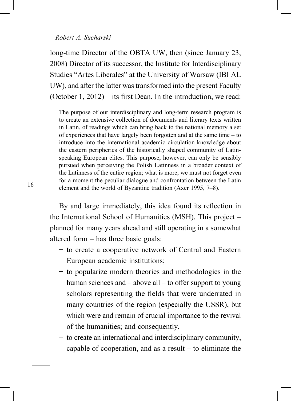#### *Robert A. Sucharski*

long-time Director of the OBTA UW, then (since January 23, 2008) Director of its successor, the Institute for Interdisciplinary Studies "Artes Liberales" at the University of Warsaw (IBI AL UW), and after the latter was transformed into the present Faculty (October 1, 2012) – its first Dean. In the introduction, we read:

The purpose of our interdisciplinary and long-term research program is to create an extensive collection of documents and literary texts written in Latin, of readings which can bring back to the national memory a set of experiences that have largely been forgotten and at the same time – to introduce into the international academic circulation knowledge about the eastern peripheries of the historically shaped community of Latinspeaking European elites. This purpose, however, can only be sensibly pursued when perceiving the Polish Latinness in a broader context of the Latinness of the entire region; what is more, we must not forget even for a moment the peculiar dialogue and confrontation between the Latin element and the world of Byzantine tradition (Axer 1995, 7–8).

By and large immediately, this idea found its reflection in the International School of Humanities (MSH). This project – planned for many years ahead and still operating in a somewhat altered form – has three basic goals:

- − to create a cooperative network of Central and Eastern European academic institutions;
- − to popularize modern theories and methodologies in the human sciences and  $-$  above all  $-$  to offer support to young scholars representing the fields that were underrated in many countries of the region (especially the USSR), but which were and remain of crucial importance to the revival of the humanities; and consequently,
- − to create an international and interdisciplinary community, capable of cooperation, and as a result – to eliminate the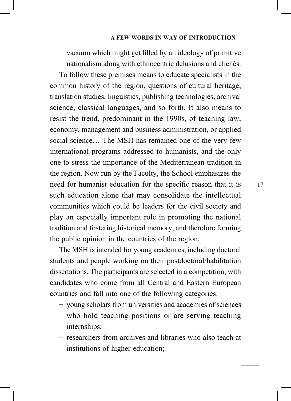vacuum which might get filled by an ideology of primitive nationalism along with ethnocentric delusions and clichés.

To follow these premises means to educate specialists in the common history of the region, questions of cultural heritage, translation studies, linguistics, publishing technologies, archival science, classical languages, and so forth. It also means to resist the trend, predominant in the 1990s, of teaching law, economy, management and business administration, or applied social science… The MSH has remained one of the very few international programs addressed to humanists, and the only one to stress the importance of the Mediterranean tradition in the region. Now run by the Faculty, the School emphasizes the need for humanist education for the specific reason that it is such education alone that may consolidate the intellectual communities which could be leaders for the civil society and play an especially important role in promoting the national tradition and fostering historical memory, and therefore forming the public opinion in the countries of the region.

The MSH is intended for young academics, including doctoral students and people working on their postdoctoral/habilitation dissertations. The participants are selected in a competition, with candidates who come from all Central and Eastern European countries and fall into one of the following categories:

- − young scholars from universities and academies of sciences who hold teaching positions or are serving teaching internships;
- − researchers from archives and libraries who also teach at institutions of higher education;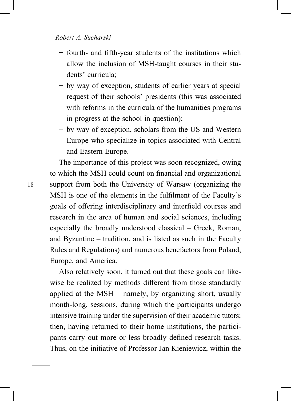*Robert A. Sucharski*

- − fourth- and fifth-year students of the institutions which allow the inclusion of MSH-taught courses in their students' curricula;
- − by way of exception, students of earlier years at special request of their schools' presidents (this was associated with reforms in the curricula of the humanities programs in progress at the school in question);
- − by way of exception, scholars from the US and Western Europe who specialize in topics associated with Central and Eastern Europe.

The importance of this project was soon recognized, owing to which the MSH could count on financial and organizational support from both the University of Warsaw (organizing the MSH is one of the elements in the fulfilment of the Faculty's goals of offering interdisciplinary and interfield courses and research in the area of human and social sciences, including especially the broadly understood classical – Greek, Roman, and Byzantine – tradition, and is listed as such in the Faculty Rules and Regulations) and numerous benefactors from Poland, Europe, and America.

Also relatively soon, it turned out that these goals can likewise be realized by methods different from those standardly applied at the MSH – namely, by organizing short, usually month-long, sessions, during which the participants undergo intensive training under the supervision of their academic tutors; then, having returned to their home institutions, the participants carry out more or less broadly defined research tasks. Thus, on the initiative of Professor Jan Kieniewicz, within the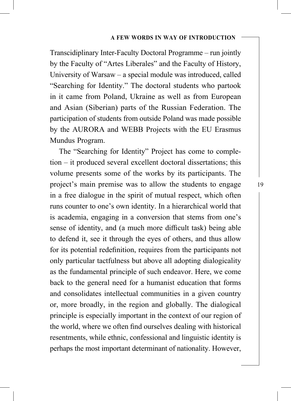Transcidiplinary Inter-Faculty Doctoral Programme – run jointly by the Faculty of "Artes Liberales" and the Faculty of History, University of Warsaw – a special module was introduced, called "Searching for Identity." The doctoral students who partook in it came from Poland, Ukraine as well as from European and Asian (Siberian) parts of the Russian Federation. The participation of students from outside Poland was made possible by the AURORA and WEBB Projects with the EU Erasmus Mundus Program.

The "Searching for Identity" Project has come to completion – it produced several excellent doctoral dissertations; this volume presents some of the works by its participants. The project's main premise was to allow the students to engage in a free dialogue in the spirit of mutual respect, which often runs counter to one's own identity. In a hierarchical world that is academia, engaging in a conversion that stems from one's sense of identity, and (a much more difficult task) being able to defend it, see it through the eyes of others, and thus allow for its potential redefinition, requires from the participants not only particular tactfulness but above all adopting dialogicality as the fundamental principle of such endeavor. Here, we come back to the general need for a humanist education that forms and consolidates intellectual communities in a given country or, more broadly, in the region and globally. The dialogical principle is especially important in the context of our region of the world, where we often find ourselves dealing with historical resentments, while ethnic, confessional and linguistic identity is perhaps the most important determinant of nationality. However,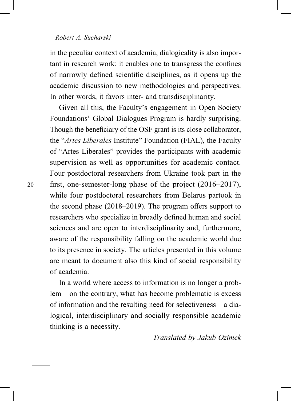#### *Robert A. Sucharski*

in the peculiar context of academia, dialogicality is also important in research work: it enables one to transgress the confines of narrowly defined scientific disciplines, as it opens up the academic discussion to new methodologies and perspectives. In other words, it favors inter- and transdisciplinarity.

Given all this, the Faculty's engagement in Open Society Foundations' Global Dialogues Program is hardly surprising. Though the beneficiary of the OSF grant is its close collaborator, the "*Artes Liberales* Institute" Foundation (FIAL), the Faculty of "Artes Liberales" provides the participants with academic supervision as well as opportunities for academic contact. Four postdoctoral researchers from Ukraine took part in the first, one-semester-long phase of the project  $(2016-2017)$ , while four postdoctoral researchers from Belarus partook in the second phase  $(2018–2019)$ . The program offers support to researchers who specialize in broadly defined human and social sciences and are open to interdisciplinarity and, furthermore, aware of the responsibility falling on the academic world due to its presence in society. The articles presented in this volume are meant to document also this kind of social responsibility of academia.

In a world where access to information is no longer a problem – on the contrary, what has become problematic is excess of information and the resulting need for selectiveness – a dialogical, interdisciplinary and socially responsible academic thinking is a necessity.

*Translated by Jakub Ozimek*